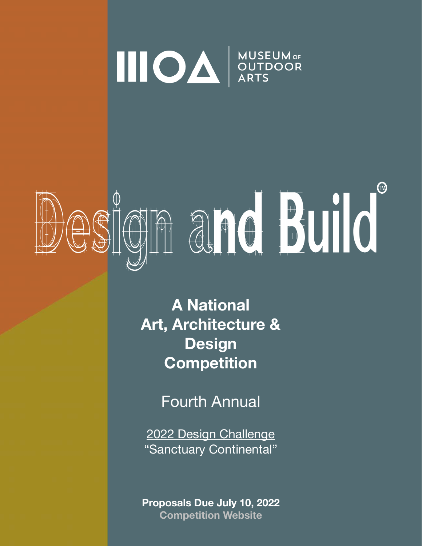

# OSIGNA ard Build

**A National Art, Architecture & Design Competition** 

Fourth Annual

2022 Design Challenge "Sanctuary Continental"

**Proposals Due July 10, 2022 [Competition Website](https://moaonline.org/design-and-build-2022-competition/)**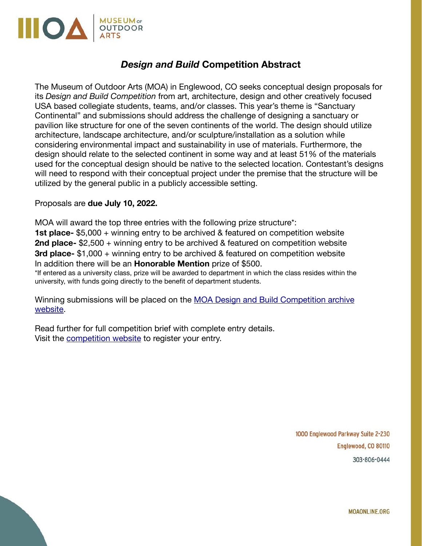

## *Design and Build* **Competition Abstract**

The Museum of Outdoor Arts (MOA) in Englewood, CO seeks conceptual design proposals for its *Design and Build Competition* from art, architecture, design and other creatively focused USA based collegiate students, teams, and/or classes. This year's theme is "Sanctuary Continental" and submissions should address the challenge of designing a sanctuary or pavilion like structure for one of the seven continents of the world. The design should utilize architecture, landscape architecture, and/or sculpture/installation as a solution while considering environmental impact and sustainability in use of materials. Furthermore, the design should relate to the selected continent in some way and at least 51% of the materials used for the conceptual design should be native to the selected location. Contestant's designs will need to respond with their conceptual project under the premise that the structure will be utilized by the general public in a publicly accessible setting.

#### Proposals are **due July 10, 2022.**

MOA will award the top three entries with the following prize structure\*: **1st place-** \$5,000 + winning entry to be archived & featured on competition website **2nd place-** \$2,500 + winning entry to be archived & featured on competition website **3rd place-** \$1,000 + winning entry to be archived & featured on competition website In addition there will be an **Honorable Mention** prize of \$500.

\*If entered as a university class, prize will be awarded to department in which the class resides within the university, with funds going directly to the benefit of department students.

Winning submissions will be placed on the [MOA Design and Build Competition archive](https://moaonline.org/design-and-build-competition/)  [website](https://moaonline.org/design-and-build-competition/).

Read further for full competition brief with complete entry details. Visit the [competition website](https://moaonline.org/design-and-build-2022-competition/) to register your entry.

> 1000 Englewood Parkway Suite 2-230 Englewood, CO 80110 303-806-0444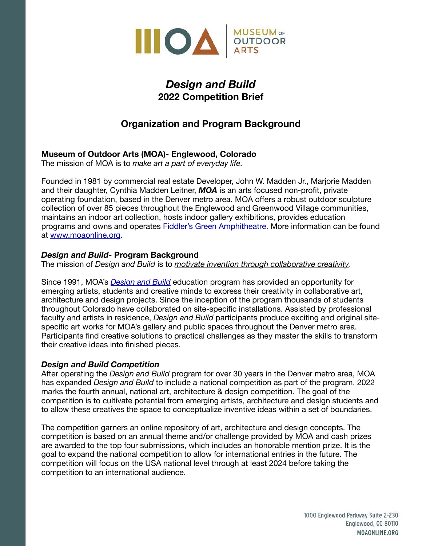

## *Design and Build*  **2022 Competition Brief**

## **Organization and Program Background**

## **Museum of Outdoor Arts (MOA)- Englewood, Colorado**

The mission of MOA is to *make art a part of everyday life.*

Founded in 1981 by commercial real estate Developer, John W. Madden Jr., Marjorie Madden and their daughter, Cynthia Madden Leitner, *MOA* is an arts focused non-profit, private operating foundation, based in the Denver metro area. MOA offers a robust outdoor sculpture collection of over 85 pieces throughout the Englewood and Greenwood Village communities, maintains an indoor art collection, hosts indoor gallery exhibitions, provides education programs and owns and operates [Fiddler's Green Amphitheatre](https://www.fiddlersgreenamp.com/venue-info). More information can be found at [www.moaonline.org.](http://www.moaonline.org)

## *Design and Build***- Program Background**

The mission of *Design and Build* is to *motivate invention through collaborative creativity*.

Since 1991, MOA's *[Design and Build](http://moaonline.org/design-and-build/)* education program has provided an opportunity for emerging artists, students and creative minds to express their creativity in collaborative art, architecture and design projects. Since the inception of the program thousands of students throughout Colorado have collaborated on site-specific installations. Assisted by professional faculty and artists in residence, *Design and Build* participants produce exciting and original sitespecific art works for MOA's gallery and public spaces throughout the Denver metro area. Participants find creative solutions to practical challenges as they master the skills to transform their creative ideas into finished pieces.

## *Design and Build Competition*

After operating the *Design and Build* program for over 30 years in the Denver metro area, MOA has expanded *Design and Build* to include a national competition as part of the program. 2022 marks the fourth annual, national art, architecture & design competition. The goal of the competition is to cultivate potential from emerging artists, architecture and design students and to allow these creatives the space to conceptualize inventive ideas within a set of boundaries.

The competition garners an online repository of art, architecture and design concepts. The competition is based on an annual theme and/or challenge provided by MOA and cash prizes are awarded to the top four submissions, which includes an honorable mention prize. It is the goal to expand the national competition to allow for international entries in the future. The competition will focus on the USA national level through at least 2024 before taking the competition to an international audience.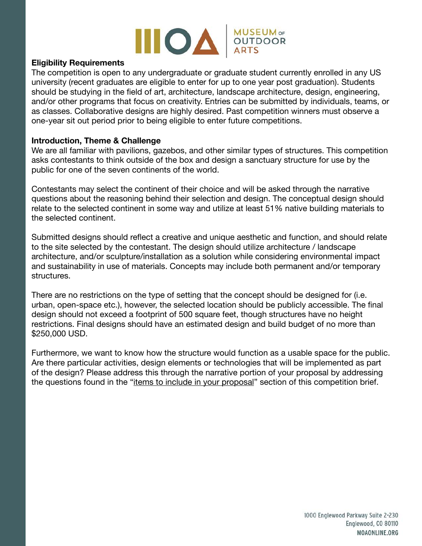

## **Eligibility Requirements**

The competition is open to any undergraduate or graduate student currently enrolled in any US university (recent graduates are eligible to enter for up to one year post graduation). Students should be studying in the field of art, architecture, landscape architecture, design, engineering, and/or other programs that focus on creativity. Entries can be submitted by individuals, teams, or as classes. Collaborative designs are highly desired. Past competition winners must observe a one-year sit out period prior to being eligible to enter future competitions.

#### **Introduction, Theme & Challenge**

We are all familiar with pavilions, gazebos, and other similar types of structures. This competition asks contestants to think outside of the box and design a sanctuary structure for use by the public for one of the seven continents of the world.

Contestants may select the continent of their choice and will be asked through the narrative questions about the reasoning behind their selection and design. The conceptual design should relate to the selected continent in some way and utilize at least 51% native building materials to the selected continent.

Submitted designs should reflect a creative and unique aesthetic and function, and should relate to the site selected by the contestant. The design should utilize architecture / landscape architecture, and/or sculpture/installation as a solution while considering environmental impact and sustainability in use of materials. Concepts may include both permanent and/or temporary structures.

There are no restrictions on the type of setting that the concept should be designed for (i.e. urban, open-space etc.), however, the selected location should be publicly accessible. The final design should not exceed a footprint of 500 square feet, though structures have no height restrictions. Final designs should have an estimated design and build budget of no more than \$250,000 USD.

Furthermore, we want to know how the structure would function as a usable space for the public. Are there particular activities, design elements or technologies that will be implemented as part of the design? Please address this through the narrative portion of your proposal by addressing the questions found in the "items to include in your proposal" section of this competition brief.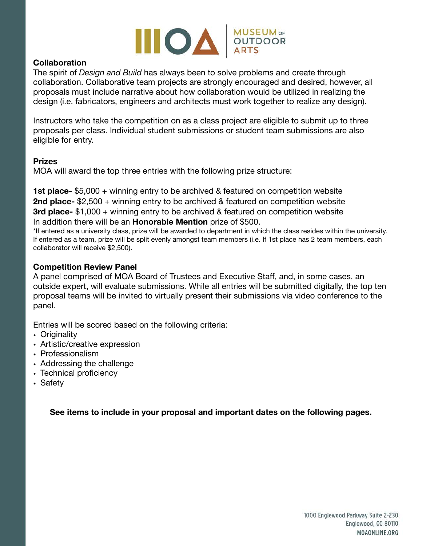

## **Collaboration**

The spirit of *Design and Build* has always been to solve problems and create through collaboration. Collaborative team projects are strongly encouraged and desired, however, all proposals must include narrative about how collaboration would be utilized in realizing the design (i.e. fabricators, engineers and architects must work together to realize any design).

Instructors who take the competition on as a class project are eligible to submit up to three proposals per class. Individual student submissions or student team submissions are also eligible for entry.

#### **Prizes**

MOA will award the top three entries with the following prize structure:

**1st place-** \$5,000 + winning entry to be archived & featured on competition website **2nd place-** \$2,500 + winning entry to be archived & featured on competition website **3rd place-** \$1,000 + winning entry to be archived & featured on competition website In addition there will be an **Honorable Mention** prize of \$500.

\*If entered as a university class, prize will be awarded to department in which the class resides within the university. If entered as a team, prize will be split evenly amongst team members (i.e. If 1st place has 2 team members, each collaborator will receive \$2,500).

## **Competition Review Panel**

A panel comprised of MOA Board of Trustees and Executive Staff, and, in some cases, an outside expert, will evaluate submissions. While all entries will be submitted digitally, the top ten proposal teams will be invited to virtually present their submissions via video conference to the panel.

Entries will be scored based on the following criteria:

- **•** Originality
- **•** Artistic/creative expression
- **•** Professionalism
- **•** Addressing the challenge
- **•** Technical proficiency
- **•** Safety

**See items to include in your proposal and important dates on the following pages.**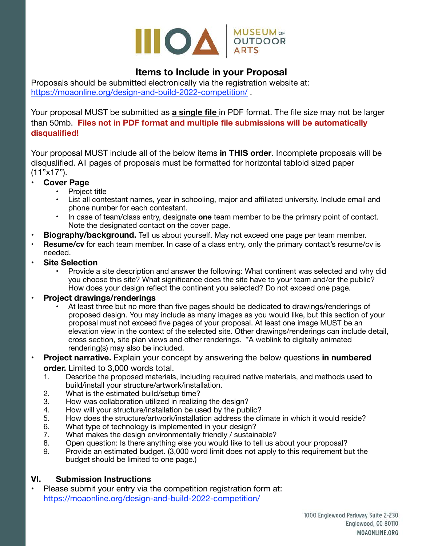

## **Items to Include in your Proposal**

Proposals should be submitted electronically via the registration website at: <https://moaonline.org/design-and-build-2022-competition/> .

Your proposal MUST be submitted as **a single file** in PDF format. The file size may not be larger than 50mb. **Files not in PDF format and multiple file submissions will be automatically disqualified!**

Your proposal MUST include all of the below items **in THIS order**. Incomplete proposals will be disqualified. All pages of proposals must be formatted for horizontal tabloid sized paper (11"x17").

- **• Cover Page** 
	- Project title
	- List all contestant names, year in schooling, major and affiliated university. Include email and phone number for each contestant.
	- In case of team/class entry, designate **one** team member to be the primary point of contact. Note the designated contact on the cover page.
- **Biography/background.** Tell us about yourself. May not exceed one page per team member.
- **Resume/cv** for each team member. In case of a class entry, only the primary contact's resume/cv is needed.
- **• Site Selection** 
	- Provide a site description and answer the following: What continent was selected and why did you choose this site? What significance does the site have to your team and/or the public? How does your design reflect the continent you selected? Do not exceed one page.

## **• Project drawings/renderings**

- At least three but no more than five pages should be dedicated to drawings/renderings of proposed design. You may include as many images as you would like, but this section of your proposal must not exceed five pages of your proposal. At least one image MUST be an elevation view in the context of the selected site. Other drawings/renderings can include detail, cross section, site plan views and other renderings. \*A weblink to digitally animated rendering(s) may also be included.
- **Project narrative.** Explain your concept by answering the below questions **in numbered order.** Limited to 3,000 words total.
	- 1. Describe the proposed materials, including required native materials, and methods used to build/install your structure/artwork/installation.
	- 2. What is the estimated build/setup time?
	- 3. How was collaboration utilized in realizing the design?
	- 4. How will your structure/installation be used by the public?
	- 5. How does the structure/artwork/installation address the climate in which it would reside?
	- 6. What type of technology is implemented in your design?
	- 7. What makes the design environmentally friendly / sustainable?
	- 8. Open question: Is there anything else you would like to tell us about your proposal?
	- 9. Provide an estimated budget. (3,000 word limit does not apply to this requirement but the budget should be limited to one page.)

## **VI. Submission Instructions**

• Please submit your entry via the competition registration form at: <https://moaonline.org/design-and-build-2022-competition/>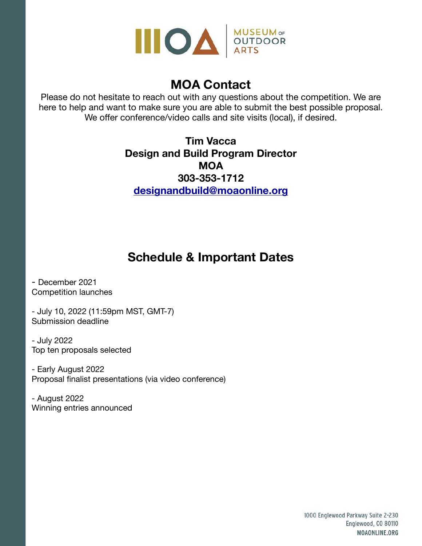

# **MOA Contact**

Please do not hesitate to reach out with any questions about the competition. We are here to help and want to make sure you are able to submit the best possible proposal. We offer conference/video calls and site visits (local), if desired.

> **Tim Vacca Design and Build Program Director MOA 303-353-1712 [designandbuild@moaonline.org](mailto:designandbuild@moaonline.org)**

# **Schedule & Important Dates**

- December 2021 Competition launches

- July 10, 2022 (11:59pm MST, GMT-7) Submission deadline

- July 2022 Top ten proposals selected

- Early August 2022 Proposal finalist presentations (via video conference)

- August 2022 Winning entries announced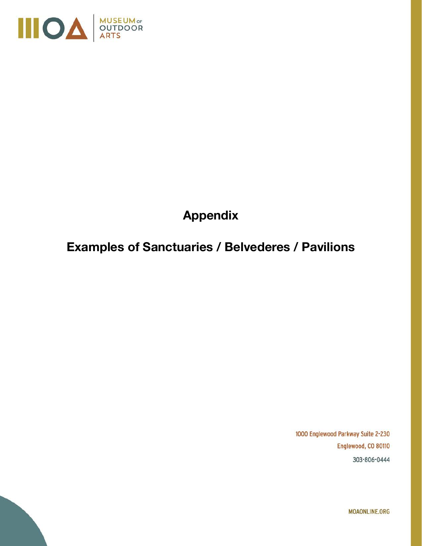

# **Appendix**

# **Examples of Sanctuaries / Belvederes / Pavilions**

1000 Englewood Parkway Suite 2-230 Englewood, CO 80110 303-806-0444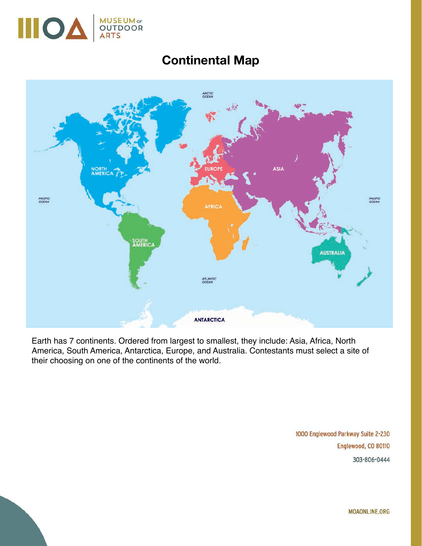

# **Continental Map**



Earth has 7 continents. Ordered from largest to smallest, they include: Asia, Africa, North America, South America, Antarctica, Europe, and Australia. Contestants must select a site of their choosing on one of the continents of the world.

> 1000 Englewood Parkway Suite 2-230 Englewood, CO 80110 303-806-0444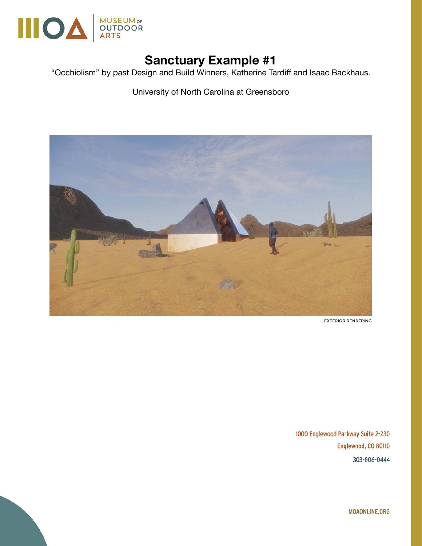

"Occhiolism" by past Design and Build Winners, Katherine Tardiff and Isaac Backhaus.

University of North Carolina at Greensboro



**EXTERIOR RENDERING** 

1000 Englewood Parkway Suite 2-230 Englewood, CO 80110 303-806-0444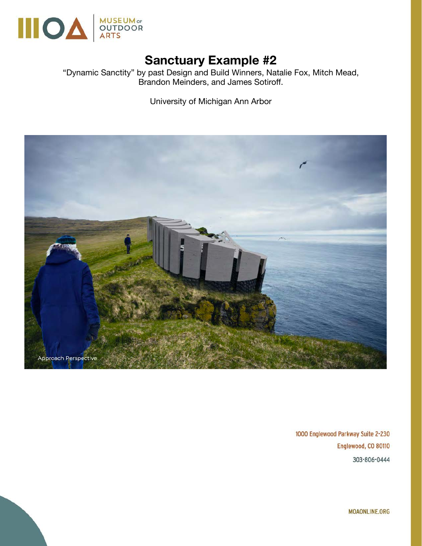

"Dynamic Sanctity" by past Design and Build Winners, Natalie Fox, Mitch Mead, Brandon Meinders, and James Sotiroff.

University of Michigan Ann Arbor



1000 Englewood Parkway Suite 2-230 Englewood, CO 80110 303-806-0444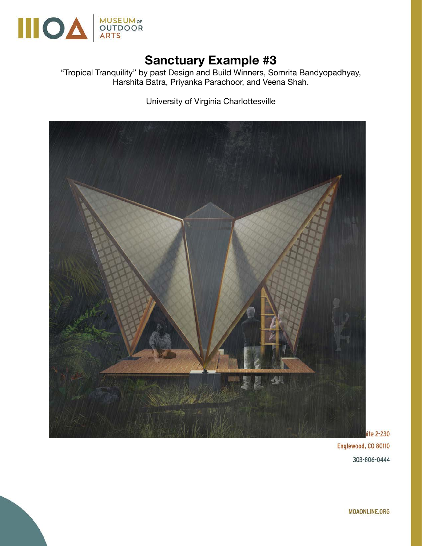

"Tropical Tranquility" by past Design and Build Winners, Somrita Bandyopadhyay, Harshita Batra, Priyanka Parachoor, and Veena Shah.

University of Virginia Charlottesville



Englewood, CO 80110 303-806-0444